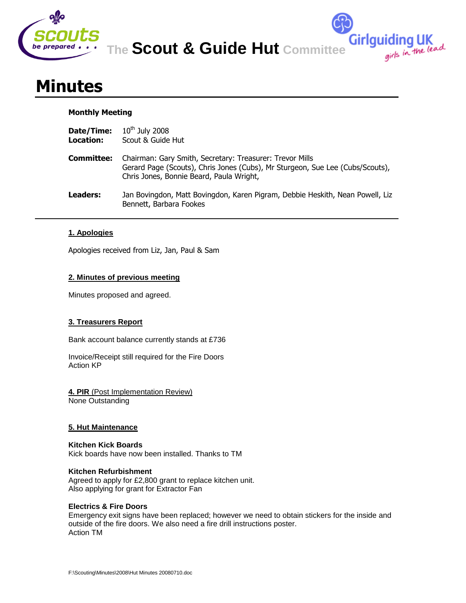

**The Scout & Guide Hut Committee**

Girlguiding UK<br>girls in the lead

# **Minutes**

## **Monthly Meeting**

| Date/Time:<br>Location: | $10^{th}$ July 2008<br>Scout & Guide Hut                                                                                                                                              |
|-------------------------|---------------------------------------------------------------------------------------------------------------------------------------------------------------------------------------|
| Committee:              | Chairman: Gary Smith, Secretary: Treasurer: Trevor Mills<br>Gerard Page (Scouts), Chris Jones (Cubs), Mr Sturgeon, Sue Lee (Cubs/Scouts),<br>Chris Jones, Bonnie Beard, Paula Wright, |
| Leaders:                | Jan Bovingdon, Matt Bovingdon, Karen Pigram, Debbie Heskith, Nean Powell, Liz<br>Bennett, Barbara Fookes                                                                              |

# **1. Apologies**

Apologies received from Liz, Jan, Paul & Sam

## **2. Minutes of previous meeting**

Minutes proposed and agreed.

# **3. Treasurers Report**

Bank account balance currently stands at £736

Invoice/Receipt still required for the Fire Doors Action KP

**4. PIR** (Post Implementation Review) None Outstanding

## **5. Hut Maintenance**

**Kitchen Kick Boards** Kick boards have now been installed. Thanks to TM

## **Kitchen Refurbishment**

Agreed to apply for £2,800 grant to replace kitchen unit. Also applying for grant for Extractor Fan

## **Electrics & Fire Doors**

Emergency exit signs have been replaced; however we need to obtain stickers for the inside and outside of the fire doors. We also need a fire drill instructions poster. Action TM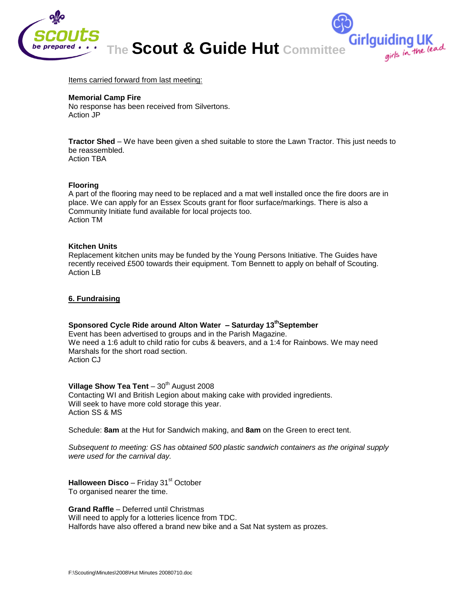

Items carried forward from last meeting:

#### **Memorial Camp Fire**

No response has been received from Silvertons. Action JP

**Tractor Shed** – We have been given a shed suitable to store the Lawn Tractor. This just needs to be reassembled. Action TBA

#### **Flooring**

A part of the flooring may need to be replaced and a mat well installed once the fire doors are in place. We can apply for an Essex Scouts grant for floor surface/markings. There is also a Community Initiate fund available for local projects too. Action TM

#### **Kitchen Units**

Replacement kitchen units may be funded by the Young Persons Initiative. The Guides have recently received £500 towards their equipment. Tom Bennett to apply on behalf of Scouting. Action LB

#### **6. Fundraising**

## **Sponsored Cycle Ride around Alton Water – Saturday 13 thSeptember**

Event has been advertised to groups and in the Parish Magazine. We need a 1:6 adult to child ratio for cubs & beavers, and a 1:4 for Rainbows. We may need Marshals for the short road section. Action CJ

## **Village Show Tea Tent**  $-30<sup>th</sup>$  August 2008

Contacting WI and British Legion about making cake with provided ingredients. Will seek to have more cold storage this year. Action SS & MS

Schedule: **8am** at the Hut for Sandwich making, and **8am** on the Green to erect tent.

*Subsequent to meeting: GS has obtained 500 plastic sandwich containers as the original supply were used for the carnival day.*

Halloween Disco - Friday 31<sup>st</sup> October To organised nearer the time.

**Grand Raffle** – Deferred until Christmas

Will need to apply for a lotteries licence from TDC. Halfords have also offered a brand new bike and a Sat Nat system as prozes.